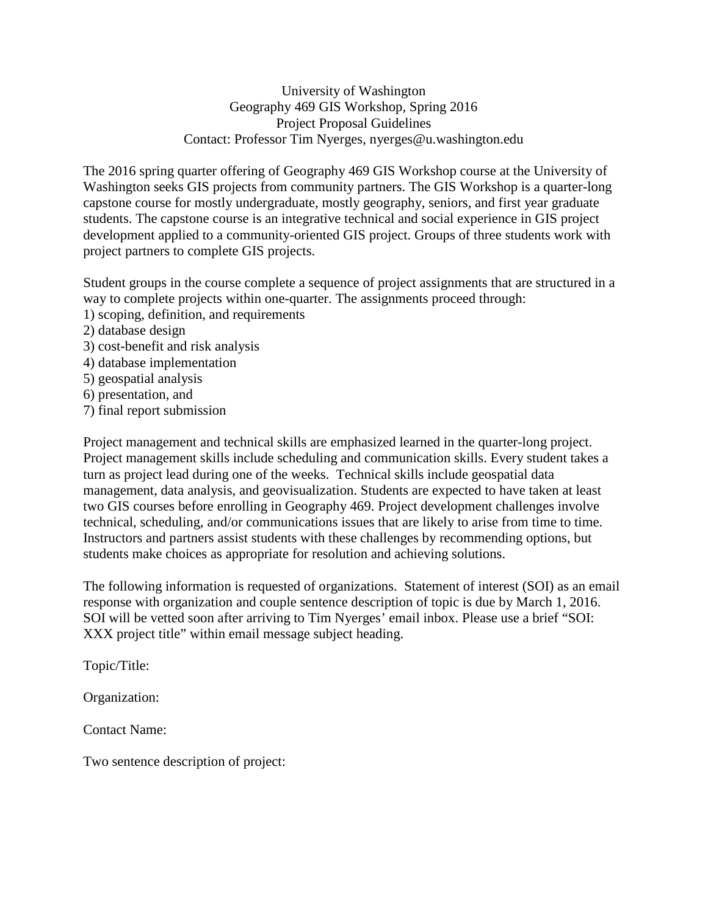University of Washington Geography 469 GIS Workshop, Spring 2016 Project Proposal Guidelines Contact: Professor Tim Nyerges, nyerges@u.washington.edu

The 2016 spring quarter offering of Geography 469 GIS Workshop course at the University of Washington seeks GIS projects from community partners. The GIS Workshop is a quarter-long capstone course for mostly undergraduate, mostly geography, seniors, and first year graduate students. The capstone course is an integrative technical and social experience in GIS project development applied to a community-oriented GIS project. Groups of three students work with project partners to complete GIS projects.

Student groups in the course complete a sequence of project assignments that are structured in a way to complete projects within one-quarter. The assignments proceed through:

- 1) scoping, definition, and requirements
- 2) database design
- 3) cost-benefit and risk analysis
- 4) database implementation
- 5) geospatial analysis
- 6) presentation, and
- 7) final report submission

Project management and technical skills are emphasized learned in the quarter-long project. Project management skills include scheduling and communication skills. Every student takes a turn as project lead during one of the weeks. Technical skills include geospatial data management, data analysis, and geovisualization. Students are expected to have taken at least two GIS courses before enrolling in Geography 469. Project development challenges involve technical, scheduling, and/or communications issues that are likely to arise from time to time. Instructors and partners assist students with these challenges by recommending options, but students make choices as appropriate for resolution and achieving solutions.

The following information is requested of organizations. Statement of interest (SOI) as an email response with organization and couple sentence description of topic is due by March 1, 2016. SOI will be vetted soon after arriving to Tim Nyerges' email inbox. Please use a brief "SOI: XXX project title" within email message subject heading.

Topic/Title:

Organization:

Contact Name:

Two sentence description of project: